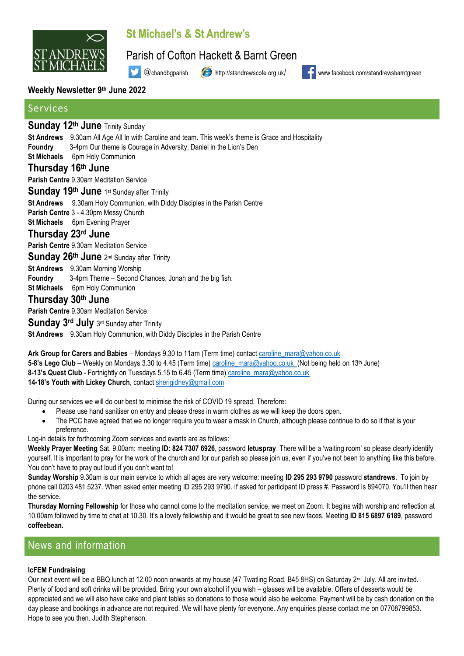

# St Michael's & St Andrew's

Parish of Cofton Hackett & Barnt Green

@chandbgparish

http://standrewscofe.org.uk/



www.facebook.com/standrewsbarntgreen

### **Weekly Newsletter 9 th June 2022**

### Services

### **Sunday 12 th June** Trinity Sunday

- **St Andrews** 9.30am All Age All In with Caroline and team. This week's theme is Grace and Hospitality
- **Foundry** 3-4pm Our theme is Courage in Adversity, Daniel in the Lion's Den
- **St Michaels** 6pm Holy Communion

### **Thursday 16th June**

**Parish Centre** 9.30am Meditation Service

### Sunday 19<sup>th</sup> June 1st Sunday after Trinity

**St Andrews** 9.30am Holy Communion, with Diddy Disciples in the Parish Centre

**Parish Centre** 3 - 4.30pm Messy Church

**St Michaels** 6pm Evening Prayer

### **Thursday 23rd June**

**Parish Centre** 9.30am Meditation Service

Sunday 26<sup>th</sup> June 2<sup>nd</sup> Sunday after Trinity

**St Andrews** 9.30am Morning Worship

**Foundry** 3-4pm Theme – Second Chances, Jonah and the big fish.

**St Michaels** 6pm Holy Communion

### **Thursday 30th June**

**Parish Centre** 9.30am Meditation Service

Sunday 3<sup>rd</sup> July 3rd Sunday after Trinity

**St Andrews** 9.30am Holy Communion, with Diddy Disciples in the Parish Centre

**Ark Group for Carers and Babies** – Mondays 9.30 to 11am (Term time) contac[t caroline\\_mara@yahoo.co.uk](mailto:caroline_mara@yahoo.co.uk) 5-8's Lego Club – Weekly on Mondays 3.30 to 4.45 (Term time) [caroline\\_mara@yahoo.co.uk](mailto:caroline_mara@yahoo.co.uk) (Not being held on 13<sup>th</sup> June) **8-13's Quest Club** - Fortnightly on Tuesdays 5.15 to 6.45 (Term time) [caroline\\_mara@yahoo.co.uk](mailto:caroline_mara@yahoo.co.uk) **14-18's Youth with Lickey Church**, contact [sherigidney@gmail.com](mailto:sherigidney@gmail.com)

During our services we will do our best to minimise the risk of COVID 19 spread. Therefore:

- Please use hand sanitiser on entry and please dress in warm clothes as we will keep the doors open.
- The PCC have agreed that we no longer require you to wear a mask in Church, although please continue to do so if that is your preference.

Log-in details for forthcoming Zoom services and events are as follows:

**Weekly Prayer Meeting** Sat. 9.00am: meeting **ID: 824 7307 6926**, password **letuspray**. There will be a 'waiting room' so please clearly identify yourself. It is important to pray for the work of the church and for our parish so please join us, even if you've not been to anything like this before. You don't have to pray out loud if you don't want to!

**Sunday Worship** 9.30am is our main service to which all ages are very welcome: meeting **ID 295 293 9790** password **standrews**. To join by phone call 0203 481 5237. When asked enter meeting ID 295 293 9790. If asked for participant ID press #. Password is 894070. You'll then hear the service.

**Thursday Morning Fellowship** for those who cannot come to the meditation service, we meet on Zoom. It begins with worship and reflection at 10.00am followed by time to chat at 10.30. It's a lovely fellowship and it would be great to see new faces. Meeting **ID 815 6897 6189**, password **coffeebean.**

## News and information

#### **IcFEM Fundraising**

Our next event will be a BBQ lunch at 12.00 noon onwards at my house (47 Twatling Road, B45 8HS) on Saturday 2nd July. All are invited. Plenty of food and soft drinks will be provided. Bring your own alcohol if you wish – glasses will be available. Offers of desserts would be appreciated and we will also have cake and plant tables so donations to those would also be welcome. Payment will be by cash donation on the day please and bookings in advance are not required. We will have plenty for everyone. Any enquiries please contact me on 07708799853. Hope to see you then. Judith Stephenson.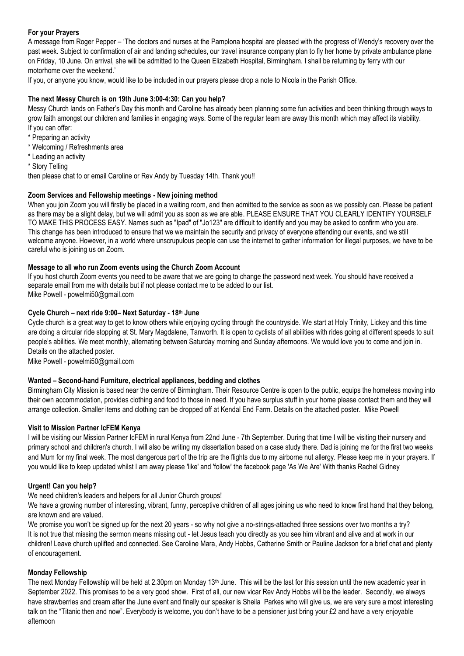#### **For your Prayers**

A message from Roger Pepper – 'The doctors and nurses at the Pamplona hospital are pleased with the progress of Wendy's recovery over the past week. Subject to confirmation of air and landing schedules, our travel insurance company plan to fly her home by private ambulance plane on Friday, 10 June. On arrival, she will be admitted to the Queen Elizabeth Hospital, Birmingham. I shall be returning by ferry with our motorhome over the weekend.'

If you, or anyone you know, would like to be included in our prayers please drop a note to Nicola in the Parish Office.

#### **The next Messy Church is on 19th June 3:00-4:30: Can you help?**

Messy Church lands on Father's Day this month and Caroline has already been planning some fun activities and been thinking through ways to grow faith amongst our children and families in engaging ways. Some of the regular team are away this month which may affect its viability. If you can offer:

- \* Preparing an activity
- \* Welcoming / Refreshments area
- \* Leading an activity
- \* Story Telling

then please chat to or email Caroline or Rev Andy by Tuesday 14th. Thank you!!

#### **Zoom Services and Fellowship meetings - New joining method**

When you join Zoom you will firstly be placed in a waiting room, and then admitted to the service as soon as we possibly can. Please be patient as there may be a slight delay, but we will admit you as soon as we are able. PLEASE ENSURE THAT YOU CLEARLY IDENTIFY YOURSELF TO MAKE THIS PROCESS EASY. Names such as "Ipad" of "Jo123" are difficult to identify and you may be asked to confirm who you are. This change has been introduced to ensure that we we maintain the security and privacy of everyone attending our events, and we still welcome anyone. However, in a world where unscrupulous people can use the internet to gather information for illegal purposes, we have to be careful who is joining us on Zoom.

#### **Message to all who run Zoom events using the Church Zoom Account**

If you host church Zoom events you need to be aware that we are going to change the password next week. You should have received a separate email from me with details but if not please contact me to be added to our list. Mike Powell - [powelmi50@gmail.com](mailto:powelmi50@gmail.com)

#### **Cycle Church – next ride 9:00– Next Saturday - 18th June**

Cycle church is a great way to get to know others while enjoying cycling through the countryside. We start at Holy Trinity, Lickey and this time are doing a circular ride stopping at St. Mary Magdalene, Tanworth. It is open to cyclists of all abilities with rides going at different speeds to suit people's abilities. We meet monthly, alternating between Saturday morning and Sunday afternoons. We would love you to come and join in. Details on the attached poster.

Mike Powell - [powelmi50@gmail.com](mailto:powelmi50@gmail.com)

#### **Wanted – Second-hand Furniture, electrical appliances, bedding and clothes**

Birmingham City Mission is based near the centre of Birmingham. Their Resource Centre is open to the public, equips the homeless moving into their own accommodation, provides clothing and food to those in need. If you have surplus stuff in your home please contact them and they will arrange collection. Smaller items and clothing can be dropped off at Kendal End Farm. Details on the attached poster. Mike Powell

#### **Visit to Mission Partner IcFEM Kenya**

I will be visiting our Mission Partner IcFEM in rural Kenya from 22nd June - 7th September. During that time I will be visiting their nursery and primary school and children's church. I will also be writing my dissertation based on a case study there. Dad is joining me for the first two weeks and Mum for my final week. The most dangerous part of the trip are the flights due to my airborne nut allergy. Please keep me in your prayers. If you would like to keep updated whilst I am away please 'like' and 'follow' the facebook page 'As We Are' With thanks Rachel Gidney

#### **Urgent! Can you help?**

We need children's leaders and helpers for all Junior Church groups!

We have a growing number of interesting, vibrant, funny, perceptive children of all ages joining us who need to know first hand that they belong, are known and are valued.

We promise you won't be signed up for the next 20 years - so why not give a no-strings-attached three sessions over two months a try? It is not true that missing the sermon means missing out - let Jesus teach you directly as you see him vibrant and alive and at work in our children! Leave church uplifted and connected. See Caroline Mara, Andy Hobbs, Catherine Smith or Pauline Jackson for a brief chat and plenty of encouragement.

#### **Monday Fellowship**

The next Monday Fellowship will be held at 2.30pm on Monday 13th June. This will be the last for this session until the new academic year in September 2022. This promises to be a very good show. First of all, our new vicar Rev Andy Hobbs will be the leader. Secondly, we always have strawberries and cream after the June event and finally our speaker is Sheila Parkes who will give us, we are very sure a most interesting talk on the "Titanic then and now". Everybody is welcome, you don't have to be a pensioner just bring your £2 and have a very enjoyable afternoon